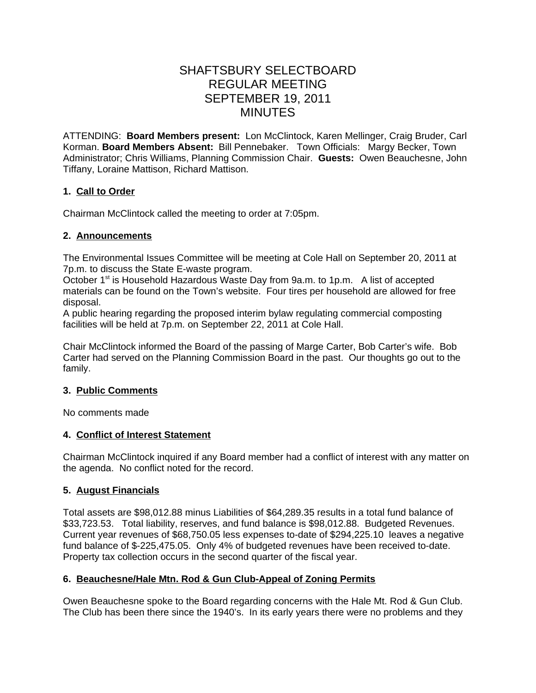# SHAFTSBURY SELECTBOARD REGULAR MEETING SEPTEMBER 19, 2011 MINUTES

ATTENDING: **Board Members present:** Lon McClintock, Karen Mellinger, Craig Bruder, Carl Korman. **Board Members Absent:** Bill Pennebaker. Town Officials: Margy Becker, Town Administrator; Chris Williams, Planning Commission Chair. **Guests:** Owen Beauchesne, John Tiffany, Loraine Mattison, Richard Mattison.

# **1. Call to Order**

Chairman McClintock called the meeting to order at 7:05pm.

# **2. Announcements**

The Environmental Issues Committee will be meeting at Cole Hall on September 20, 2011 at 7p.m. to discuss the State E-waste program.

October 1<sup>st</sup> is Household Hazardous Waste Day from 9a.m. to 1p.m. A list of accepted materials can be found on the Town's website. Four tires per household are allowed for free disposal.

A public hearing regarding the proposed interim bylaw regulating commercial composting facilities will be held at 7p.m. on September 22, 2011 at Cole Hall.

Chair McClintock informed the Board of the passing of Marge Carter, Bob Carter's wife. Bob Carter had served on the Planning Commission Board in the past. Our thoughts go out to the family.

# **3. Public Comments**

No comments made

# **4. Conflict of Interest Statement**

Chairman McClintock inquired if any Board member had a conflict of interest with any matter on the agenda. No conflict noted for the record.

# **5. August Financials**

Total assets are \$98,012.88 minus Liabilities of \$64,289.35 results in a total fund balance of \$33,723.53. Total liability, reserves, and fund balance is \$98,012.88. Budgeted Revenues. Current year revenues of \$68,750.05 less expenses to-date of \$294,225.10 leaves a negative fund balance of \$-225,475.05. Only 4% of budgeted revenues have been received to-date. Property tax collection occurs in the second quarter of the fiscal year.

# **6. Beauchesne/Hale Mtn. Rod & Gun Club-Appeal of Zoning Permits**

Owen Beauchesne spoke to the Board regarding concerns with the Hale Mt. Rod & Gun Club. The Club has been there since the 1940's. In its early years there were no problems and they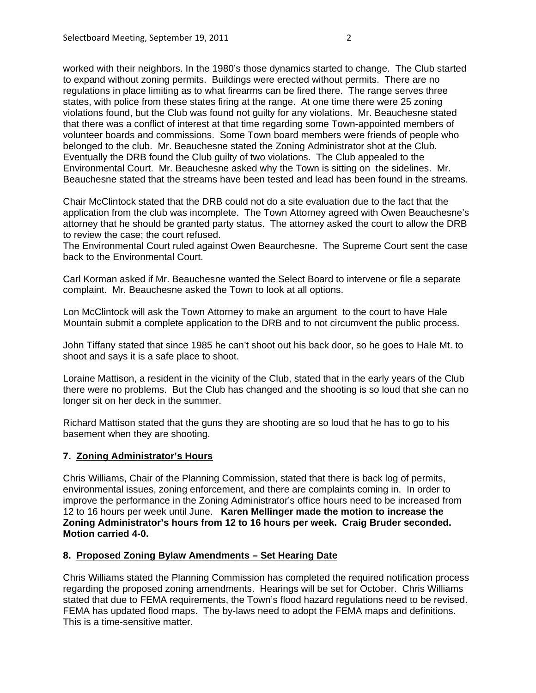worked with their neighbors. In the 1980's those dynamics started to change. The Club started to expand without zoning permits. Buildings were erected without permits. There are no regulations in place limiting as to what firearms can be fired there. The range serves three states, with police from these states firing at the range. At one time there were 25 zoning violations found, but the Club was found not guilty for any violations. Mr. Beauchesne stated that there was a conflict of interest at that time regarding some Town-appointed members of volunteer boards and commissions. Some Town board members were friends of people who belonged to the club. Mr. Beauchesne stated the Zoning Administrator shot at the Club. Eventually the DRB found the Club guilty of two violations. The Club appealed to the

Environmental Court. Mr. Beauchesne asked why the Town is sitting on the sidelines. Mr. Beauchesne stated that the streams have been tested and lead has been found in the streams.

Chair McClintock stated that the DRB could not do a site evaluation due to the fact that the application from the club was incomplete. The Town Attorney agreed with Owen Beauchesne's attorney that he should be granted party status. The attorney asked the court to allow the DRB to review the case; the court refused.

The Environmental Court ruled against Owen Beaurchesne. The Supreme Court sent the case back to the Environmental Court.

Carl Korman asked if Mr. Beauchesne wanted the Select Board to intervene or file a separate complaint. Mr. Beauchesne asked the Town to look at all options.

Lon McClintock will ask the Town Attorney to make an argument to the court to have Hale Mountain submit a complete application to the DRB and to not circumvent the public process.

John Tiffany stated that since 1985 he can't shoot out his back door, so he goes to Hale Mt. to shoot and says it is a safe place to shoot.

Loraine Mattison, a resident in the vicinity of the Club, stated that in the early years of the Club there were no problems. But the Club has changed and the shooting is so loud that she can no longer sit on her deck in the summer.

Richard Mattison stated that the guns they are shooting are so loud that he has to go to his basement when they are shooting.

#### **7. Zoning Administrator's Hours**

Chris Williams, Chair of the Planning Commission, stated that there is back log of permits, environmental issues, zoning enforcement, and there are complaints coming in. In order to improve the performance in the Zoning Administrator's office hours need to be increased from 12 to 16 hours per week until June. **Karen Mellinger made the motion to increase the Zoning Administrator's hours from 12 to 16 hours per week. Craig Bruder seconded. Motion carried 4-0.**

#### **8. Proposed Zoning Bylaw Amendments – Set Hearing Date**

Chris Williams stated the Planning Commission has completed the required notification process regarding the proposed zoning amendments. Hearings will be set for October. Chris Williams stated that due to FEMA requirements, the Town's flood hazard regulations need to be revised. FEMA has updated flood maps. The by-laws need to adopt the FEMA maps and definitions. This is a time-sensitive matter.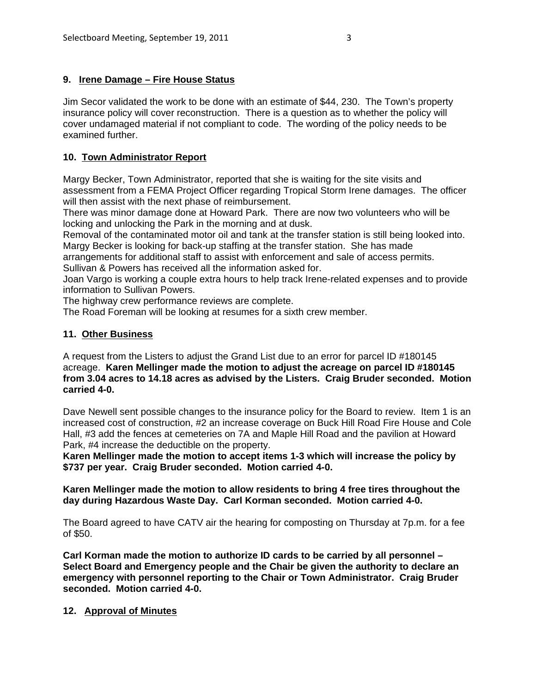# **9. Irene Damage – Fire House Status**

Jim Secor validated the work to be done with an estimate of \$44, 230. The Town's property insurance policy will cover reconstruction. There is a question as to whether the policy will cover undamaged material if not compliant to code. The wording of the policy needs to be examined further.

# **10. Town Administrator Report**

Margy Becker, Town Administrator, reported that she is waiting for the site visits and assessment from a FEMA Project Officer regarding Tropical Storm Irene damages. The officer will then assist with the next phase of reimbursement.

There was minor damage done at Howard Park. There are now two volunteers who will be locking and unlocking the Park in the morning and at dusk.

Removal of the contaminated motor oil and tank at the transfer station is still being looked into. Margy Becker is looking for back-up staffing at the transfer station. She has made

arrangements for additional staff to assist with enforcement and sale of access permits. Sullivan & Powers has received all the information asked for.

Joan Vargo is working a couple extra hours to help track Irene-related expenses and to provide information to Sullivan Powers.

The highway crew performance reviews are complete.

The Road Foreman will be looking at resumes for a sixth crew member.

# **11. Other Business**

A request from the Listers to adjust the Grand List due to an error for parcel ID #180145 acreage. **Karen Mellinger made the motion to adjust the acreage on parcel ID #180145 from 3.04 acres to 14.18 acres as advised by the Listers. Craig Bruder seconded. Motion carried 4-0.**

Dave Newell sent possible changes to the insurance policy for the Board to review. Item 1 is an increased cost of construction, #2 an increase coverage on Buck Hill Road Fire House and Cole Hall, #3 add the fences at cemeteries on 7A and Maple Hill Road and the pavilion at Howard Park, #4 increase the deductible on the property.

**Karen Mellinger made the motion to accept items 1-3 which will increase the policy by \$737 per year. Craig Bruder seconded. Motion carried 4-0.**

**Karen Mellinger made the motion to allow residents to bring 4 free tires throughout the day during Hazardous Waste Day. Carl Korman seconded. Motion carried 4-0.**

The Board agreed to have CATV air the hearing for composting on Thursday at 7p.m. for a fee of \$50.

**Carl Korman made the motion to authorize ID cards to be carried by all personnel – Select Board and Emergency people and the Chair be given the authority to declare an emergency with personnel reporting to the Chair or Town Administrator. Craig Bruder seconded. Motion carried 4-0.**

# **12. Approval of Minutes**